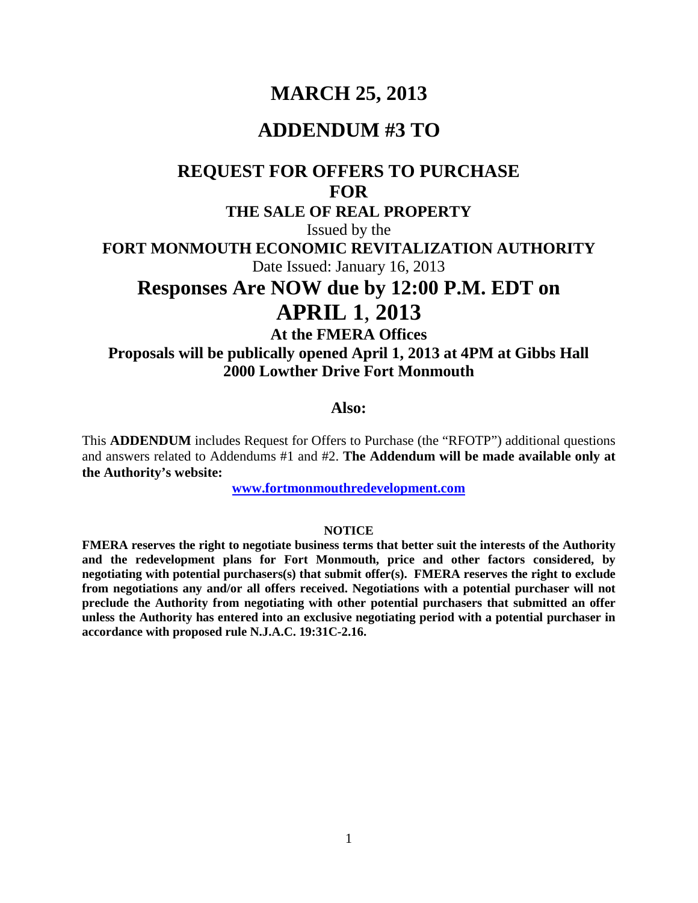## **MARCH 25, 2013**

### **ADDENDUM #3 TO**

# **REQUEST FOR OFFERS TO PURCHASE FOR**

**THE SALE OF REAL PROPERTY**

Issued by the

**FORT MONMOUTH ECONOMIC REVITALIZATION AUTHORITY**

Date Issued: January 16, 2013

## **Responses Are NOW due by 12:00 P.M. EDT on APRIL 1**, **2013**

**At the FMERA Offices Proposals will be publically opened April 1, 2013 at 4PM at Gibbs Hall 2000 Lowther Drive Fort Monmouth**

#### **Also:**

This **ADDENDUM** includes Request for Offers to Purchase (the "RFOTP") additional questions and answers related to Addendums #1 and #2. **The Addendum will be made available only at the Authority's website:**

**[www.fortmonmouthredevelopment.com](http://www.fortmonmouthredevelopment.com/)**

#### **NOTICE**

**FMERA reserves the right to negotiate business terms that better suit the interests of the Authority and the redevelopment plans for Fort Monmouth, price and other factors considered, by negotiating with potential purchasers(s) that submit offer(s). FMERA reserves the right to exclude from negotiations any and/or all offers received. Negotiations with a potential purchaser will not preclude the Authority from negotiating with other potential purchasers that submitted an offer unless the Authority has entered into an exclusive negotiating period with a potential purchaser in accordance with proposed rule N.J.A.C. 19:31C-2.16.**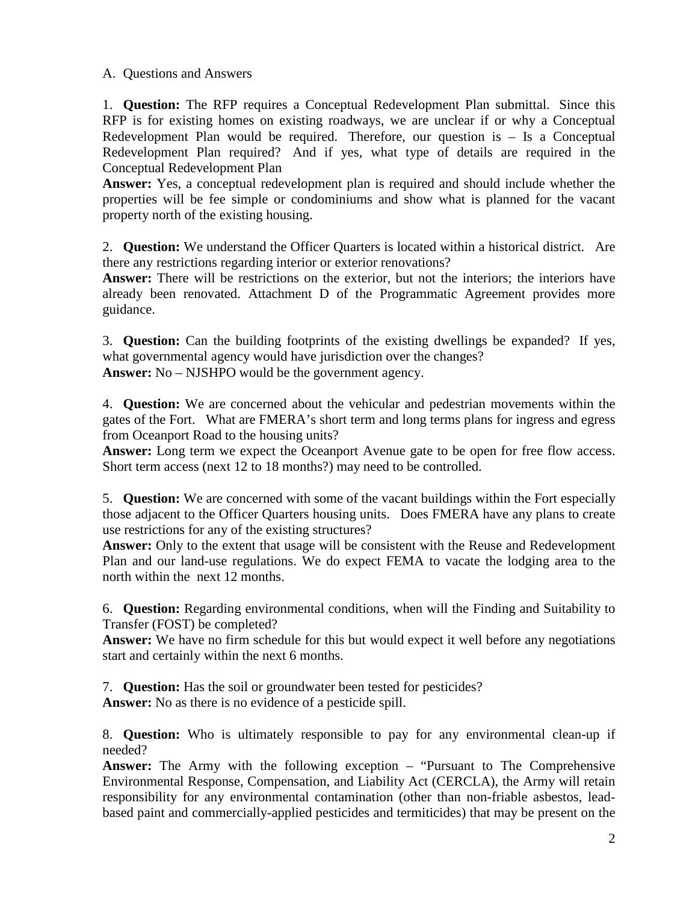A. Questions and Answers

1. **Question:** The RFP requires a Conceptual Redevelopment Plan submittal. Since this RFP is for existing homes on existing roadways, we are unclear if or why a Conceptual Redevelopment Plan would be required. Therefore, our question is – Is a Conceptual Redevelopment Plan required? And if yes, what type of details are required in the Conceptual Redevelopment Plan

**Answer:** Yes, a conceptual redevelopment plan is required and should include whether the properties will be fee simple or condominiums and show what is planned for the vacant property north of the existing housing.

2. **Question:** We understand the Officer Quarters is located within a historical district. Are there any restrictions regarding interior or exterior renovations?

**Answer:** There will be restrictions on the exterior, but not the interiors; the interiors have already been renovated. Attachment D of the Programmatic Agreement provides more guidance.

3. **Question:** Can the building footprints of the existing dwellings be expanded? If yes, what governmental agency would have jurisdiction over the changes? **Answer:** No – NJSHPO would be the government agency.

4. **Question:** We are concerned about the vehicular and pedestrian movements within the gates of the Fort. What are FMERA's short term and long terms plans for ingress and egress from Oceanport Road to the housing units?

**Answer:** Long term we expect the Oceanport Avenue gate to be open for free flow access. Short term access (next 12 to 18 months?) may need to be controlled.

5. **Question:** We are concerned with some of the vacant buildings within the Fort especially those adjacent to the Officer Quarters housing units. Does FMERA have any plans to create use restrictions for any of the existing structures?

**Answer:** Only to the extent that usage will be consistent with the Reuse and Redevelopment Plan and our land-use regulations. We do expect FEMA to vacate the lodging area to the north within the next 12 months.

6. **Question:** Regarding environmental conditions, when will the Finding and Suitability to Transfer (FOST) be completed?

**Answer:** We have no firm schedule for this but would expect it well before any negotiations start and certainly within the next 6 months.

7. **Question:** Has the soil or groundwater been tested for pesticides?

**Answer:** No as there is no evidence of a pesticide spill.

8. **Question:** Who is ultimately responsible to pay for any environmental clean-up if needed?

**Answer:** The Army with the following exception – "Pursuant to The Comprehensive Environmental Response, Compensation, and Liability Act (CERCLA), the Army will retain responsibility for any environmental contamination (other than non-friable asbestos, leadbased paint and commercially-applied pesticides and termiticides) that may be present on the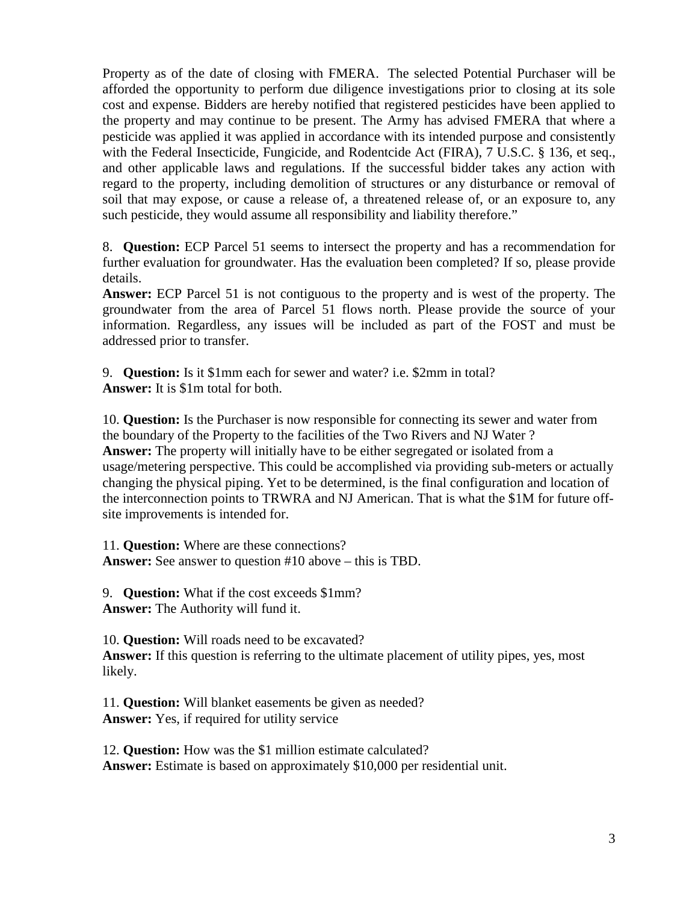Property as of the date of closing with FMERA. The selected Potential Purchaser will be afforded the opportunity to perform due diligence investigations prior to closing at its sole cost and expense. Bidders are hereby notified that registered pesticides have been applied to the property and may continue to be present. The Army has advised FMERA that where a pesticide was applied it was applied in accordance with its intended purpose and consistently with the Federal Insecticide, Fungicide, and Rodentcide Act (FIRA), 7 U.S.C. § 136, et seq., and other applicable laws and regulations. If the successful bidder takes any action with regard to the property, including demolition of structures or any disturbance or removal of soil that may expose, or cause a release of, a threatened release of, or an exposure to, any such pesticide, they would assume all responsibility and liability therefore."

8. **Question:** ECP Parcel 51 seems to intersect the property and has a recommendation for further evaluation for groundwater. Has the evaluation been completed? If so, please provide details.

**Answer:** ECP Parcel 51 is not contiguous to the property and is west of the property. The groundwater from the area of Parcel 51 flows north. Please provide the source of your information. Regardless, any issues will be included as part of the FOST and must be addressed prior to transfer.

9. **Question:** Is it \$1mm each for sewer and water? i.e. \$2mm in total? **Answer:** It is \$1m total for both.

10. **Question:** Is the Purchaser is now responsible for connecting its sewer and water from the boundary of the Property to the facilities of the Two Rivers and NJ Water ? **Answer:** The property will initially have to be either segregated or isolated from a usage/metering perspective. This could be accomplished via providing sub-meters or actually changing the physical piping. Yet to be determined, is the final configuration and location of the interconnection points to TRWRA and NJ American. That is what the \$1M for future offsite improvements is intended for.

11. **Question:** Where are these connections? **Answer:** See answer to question #10 above – this is TBD.

9. **Question:** What if the cost exceeds \$1mm? **Answer:** The Authority will fund it.

10. **Question:** Will roads need to be excavated? **Answer:** If this question is referring to the ultimate placement of utility pipes, yes, most likely.

11. **Question:** Will blanket easements be given as needed? **Answer:** Yes, if required for utility service

12. **Question:** How was the \$1 million estimate calculated? **Answer:** Estimate is based on approximately \$10,000 per residential unit.